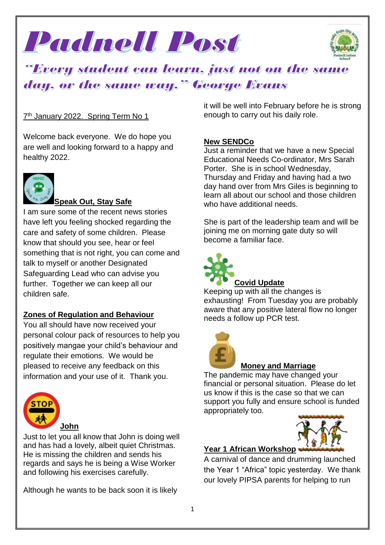



# <u> "Every student can learn, just not on the same</u> day, or the same way." George Evans

### 7<sup>th</sup> January 2022. Spring Term No 1

Welcome back everyone. We do hope you are well and looking forward to a happy and healthy 2022.



## **Speak Out, Stay Safe**

I am sure some of the recent news stories have left you feeling shocked regarding the care and safety of some children. Please know that should you see, hear or feel something that is not right, you can come and talk to myself or another Designated Safeguarding Lead who can advise you further. Together we can keep all our children safe.

### **Zones of Regulation and Behaviour**

You all should have now received your personal colour pack of resources to help you positively mangae your child's behaviour and regulate their emotions. We would be pleased to receive any feedback on this information and your use of it. Thank you.



Just to let you all know that John is doing well and has had a lovely, albeit quiet Christmas. He is missing the children and sends his regards and says he is being a Wise Worker and following his exercises carefully.

Although he wants to be back soon it is likely

it will be well into February before he is strong enough to carry out his daily role.

### **New SENDCo**

Just a reminder that we have a new Special Educational Needs Co-ordinator, Mrs Sarah Porter. She is in school Wednesday, Thursday and Friday and having had a two day hand over from Mrs Giles is beginning to learn all about our school and those children who have additional needs.

She is part of the leadership team and will be joining me on morning gate duty so will become a familiar face.



### Keeping  $\overline{u}$  with all the changes is exhausting! From Tuesday you are probably aware that any positive lateral flow no longer needs a follow up PCR test.



### **Money and Marriage**

The pandemic may have changed your financial or personal situation. Please do let us know if this is the case so that we can support you fully and ensure school is funded appropriately too.



### **Year 1 African Workshop**

A carnival of dance and drumming launched the Year 1 "Africa" topic yesterday. We thank our lovely PIPSA parents for helping to run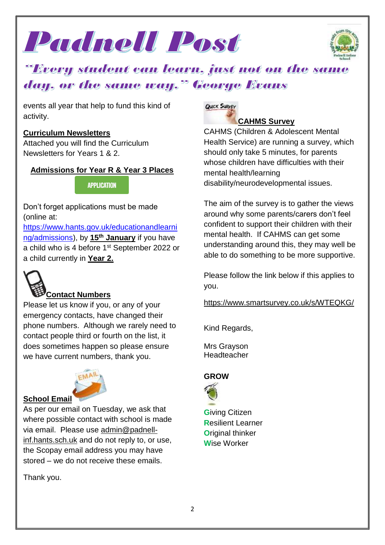



# "Every student can learn, just not on the same day, or the same way." George Evans

events all year that help to fund this kind of activity.

### **Curriculum Newsletters**

Attached you will find the Curriculum Newsletters for Years 1 & 2.

### **Admissions for Year R & Year 3 Places**

**APPLICATION** 

Don't forget applications must be made (online at:

[https://www.hants.gov.uk/educationandlearni](https://www.hants.gov.uk/educationandlearning/admissions) [ng/admissions\)](https://www.hants.gov.uk/educationandlearning/admissions), by **15th January** if you have a child who is 4 before 1<sup>st</sup> September 2022 or a child currently in **Year 2.**



# **Contact Numbers**

Please let us know if you, or any of your emergency contacts, have changed their phone numbers. Although we rarely need to contact people third or fourth on the list, it does sometimes happen so please ensure we have current numbers, thank you.



### **School Email**

As per our email on Tuesday, we ask that where possible contact with school is made via email. Please use [admin@padnell](mailto:admin@padnell-inf.hants.sch.uk)[inf.hants.sch.uk](mailto:admin@padnell-inf.hants.sch.uk) and do not reply to, or use, the Scopay email address you may have stored – we do not receive these emails.

Thank you.



CAHMS (Children & Adolescent Mental Health Service) are running a survey, which should only take 5 minutes, for parents whose children have difficulties with their mental health/learning disability/neurodevelopmental issues.

The aim of the survey is to gather the views around why some parents/carers don't feel confident to support their children with their mental health. If CAHMS can get some understanding around this, they may well be able to do something to be more supportive.

Please follow the link below if this applies to you.

<https://www.smartsurvey.co.uk/s/WTEQKG/>

Kind Regards,

Mrs Grayson **Headteacher** 

# **GROW**



**G**iving Citizen **R**esilient Learner **O**riginal thinker **W**ise Worker